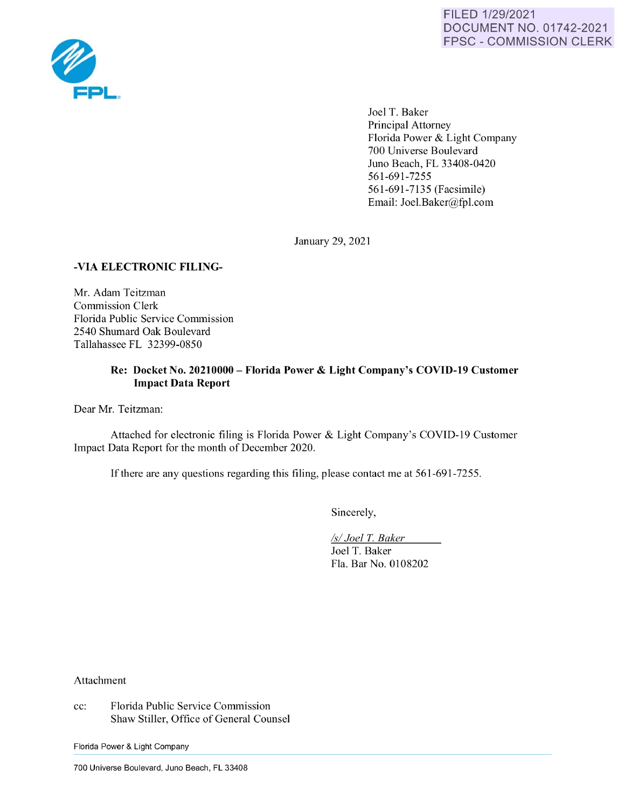

Joel T. Baker Principal Attorney Florida Power & Light Company 700 Universe Boulevard Juno Beach, FL 33408-0420 561-691-7255 561-691-7135 (Facsimile) Email: Joel.Baker@fpl.com

January 29, 2021

# **-VIA ELECTRONIC FILING-**

Mr. Adam Teitzman Commission Clerk Florida Public Service Commission 2540 Shumard Oak Boulevard Tallahassee FL 32399-0850

# **Re: Docket No. 20210000- Florida Power** & **Light Company's COVID-19 Customer Impact Data Report**

Dear Mr. Teitzman:

Attached for electronic filing is Florida Power & Light Company's COVID-19 Customer Impact Data Report for the month of December 2020.

If there are any questions regarding this filing, please contact me at 561-691-7255.

Sincerely,

*Isl Joel* T. *Baker*  Joel T. Baker Fla. Bar No. 0108202

Attachment

cc: Florida Public Service Commission Shaw Stiller, Office of General Counsel

Florida Power & Light Company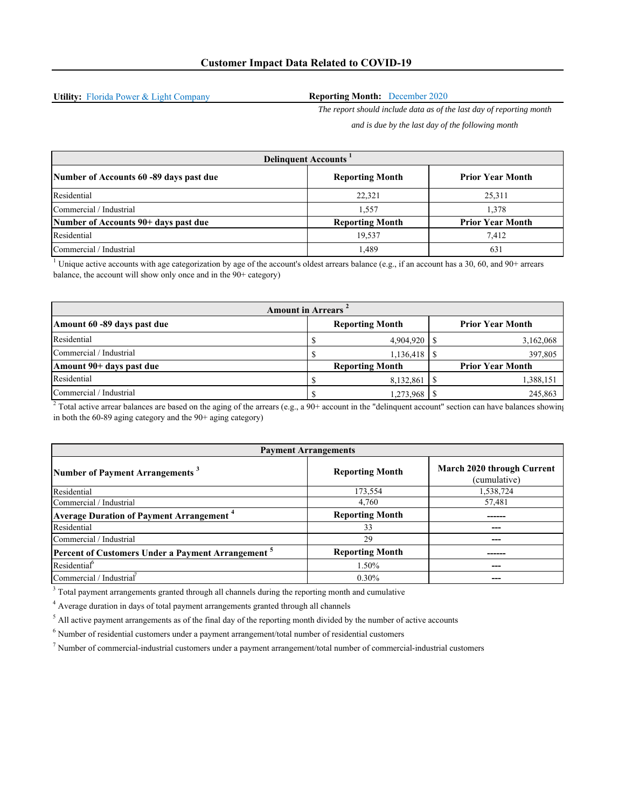**Utility:** Florida Power & Light Company

### **Reporting Month:** December 2020

*The report should include data as of the last day of reporting month and is due by the last day of the following month*

Number of Accounts 60 -89 days past due **Reporting Month Prior Year Month** Prior Year Month Residential 25,311 25,311 25,311 Commercial / Industrial 1,57 1,378 **Number of Accounts 90+ days past due Reporting Month Prior Year Month** Residential  $\begin{array}{ccc} 7,412 \end{array}$ Commercial / Industrial 1,489 631 **Delinquent Accounts 1**

<sup>1</sup> Unique active accounts with age categorization by age of the account's oldest arrears balance (e.g., if an account has a 30, 60, and 90+ arrears balance, the account will show only once and in the 90+ category)

| <b>Amount in Arrears</b>    |  |                        |  |                         |
|-----------------------------|--|------------------------|--|-------------------------|
| Amount 60 -89 days past due |  | <b>Reporting Month</b> |  | <b>Prior Year Month</b> |
| Residential                 |  | $4,904,920$   \$       |  | 3,162,068               |
| Commercial / Industrial     |  |                        |  | 397,805                 |
| Amount 90+ days past due    |  | <b>Reporting Month</b> |  | <b>Prior Year Month</b> |
| Residential                 |  | 8,132,861              |  | 1,388,151               |
| Commercial / Industrial     |  | $1,273,968$   \$       |  | 245,863                 |

<sup>2</sup> Total active arrear balances are based on the aging of the arrears (e.g., a 90+ account in the "delinquent account" section can have balances showing in both the 60-89 aging category and the 90+ aging category)

| <b>Payment Arrangements</b>                                   |                        |                                            |  |
|---------------------------------------------------------------|------------------------|--------------------------------------------|--|
| Number of Payment Arrangements <sup>3</sup>                   | <b>Reporting Month</b> | March 2020 through Current<br>(cumulative) |  |
| Residential                                                   | 173,554                | 1,538,724                                  |  |
| Commercial / Industrial                                       | 4,760                  | 57,481                                     |  |
| <b>Average Duration of Payment Arrangement</b> <sup>4</sup>   | <b>Reporting Month</b> |                                            |  |
| Residential                                                   | 33                     | ---                                        |  |
| Commercial / Industrial                                       | 29                     | ---                                        |  |
| Percent of Customers Under a Payment Arrangement <sup>5</sup> | <b>Reporting Month</b> |                                            |  |
| Residential <sup>6</sup>                                      | 1.50%                  | ---                                        |  |
| Commercial / Industrial                                       | $0.30\%$               |                                            |  |

 $3$  Total payment arrangements granted through all channels during the reporting month and cumulative

<sup>4</sup> Average duration in days of total payment arrangements granted through all channels

 $<sup>5</sup>$  All active payment arrangements as of the final day of the reporting month divided by the number of active accounts</sup>

 $^6$  Number of residential customers under a payment arrangement/total number of residential customers

7 Number of commercial-industrial customers under a payment arrangement/total number of commercial-industrial customers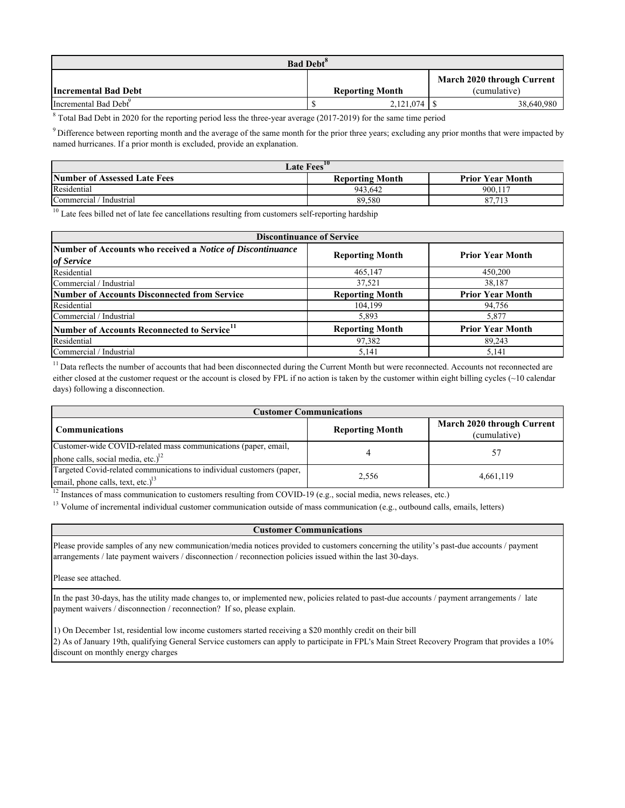| <b>Bad Debt<sup>8</sup></b>       |  |                        |  |                                            |
|-----------------------------------|--|------------------------|--|--------------------------------------------|
| <b>Incremental Bad Debt</b>       |  | <b>Reporting Month</b> |  | March 2020 through Current<br>(cumulative) |
| Incremental Bad Debt <sup>2</sup> |  | 2,121,074              |  | 38,640,980                                 |

<sup>8</sup> Total Bad Debt in 2020 for the reporting period less the three-year average (2017-2019) for the same time period

 $9$  Difference between reporting month and the average of the same month for the prior three years; excluding any prior months that were impacted by named hurricanes. If a prior month is excluded, provide an explanation.

| <b>Late Fees</b> <sup>10</sup> |                        |                                |  |  |
|--------------------------------|------------------------|--------------------------------|--|--|
| Number of Assessed Late Fees   | <b>Reporting Month</b> | <b>Prior Year Month</b>        |  |  |
| Residential                    | 943.642                | 900,117                        |  |  |
| Commercial / Industrial        | 89.580                 | O <sub>7</sub><br>712<br>0/113 |  |  |

 $10$  Late fees billed net of late fee cancellations resulting from customers self-reporting hardship

| <b>Discontinuance of Service</b>                                         |                        |                         |  |  |
|--------------------------------------------------------------------------|------------------------|-------------------------|--|--|
| Number of Accounts who received a Notice of Discontinuance<br>of Service | <b>Reporting Month</b> | <b>Prior Year Month</b> |  |  |
| Residential                                                              | 465,147                | 450,200                 |  |  |
| Commercial / Industrial                                                  | 37,521                 | 38,187                  |  |  |
| Number of Accounts Disconnected from Service                             | <b>Reporting Month</b> | <b>Prior Year Month</b> |  |  |
| Residential                                                              | 104,199                | 94,756                  |  |  |
| Commercial / Industrial                                                  | 5,893                  | 5,877                   |  |  |
| Number of Accounts Reconnected to Service <sup>11</sup>                  | <b>Reporting Month</b> | <b>Prior Year Month</b> |  |  |
| Residential                                                              | 97,382                 | 89,243                  |  |  |
| Commercial / Industrial                                                  | 5,141                  | 5,141                   |  |  |

<sup>11</sup> Data reflects the number of accounts that had been disconnected during the Current Month but were reconnected. Accounts not reconnected are either closed at the customer request or the account is closed by FPL if no action is taken by the customer within eight billing cycles (~10 calendar days) following a disconnection.

| <b>Customer Communications</b>                                                                                |                        |                                            |  |
|---------------------------------------------------------------------------------------------------------------|------------------------|--------------------------------------------|--|
| <b>Communications</b>                                                                                         | <b>Reporting Month</b> | March 2020 through Current<br>(cumulative) |  |
| Customer-wide COVID-related mass communications (paper, email,<br>phone calls, social media, etc.) $12$       |                        |                                            |  |
| Targeted Covid-related communications to individual customers (paper,<br>email, phone calls, text, etc.) $13$ | 2,556                  | 4,661,119                                  |  |

 $\frac{12}{12}$  Instances of mass communication to customers resulting from COVID-19 (e.g., social media, news releases, etc.)

<sup>13</sup> Volume of incremental individual customer communication outside of mass communication (e.g., outbound calls, emails, letters)

## **Customer Communications**

Please provide samples of any new communication/media notices provided to customers concerning the utility's past-due accounts / payment arrangements / late payment waivers / disconnection / reconnection policies issued within the last 30-days.

Please see attached.

In the past 30-days, has the utility made changes to, or implemented new, policies related to past-due accounts / payment arrangements / late payment waivers / disconnection / reconnection? If so, please explain.

1) On December 1st, residential low income customers started receiving a \$20 monthly credit on their bill 2) As of January 19th, qualifying General Service customers can apply to participate in FPL's Main Street Recovery Program that provides a 10% discount on monthly energy charges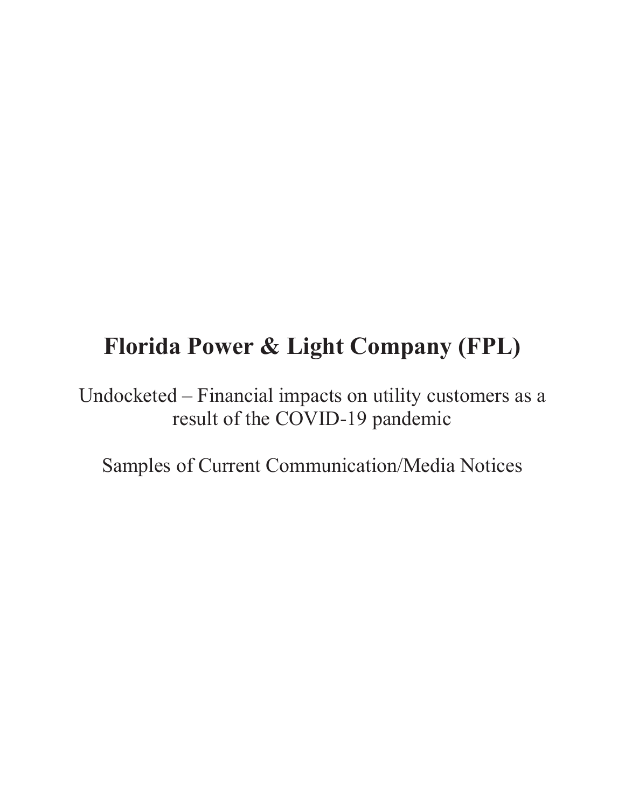# Florida Power & Light Company (FPL)

Undocketed - Financial impacts on utility customers as a result of the COVID-19 pandemic

Samples of Current Communication/Media Notices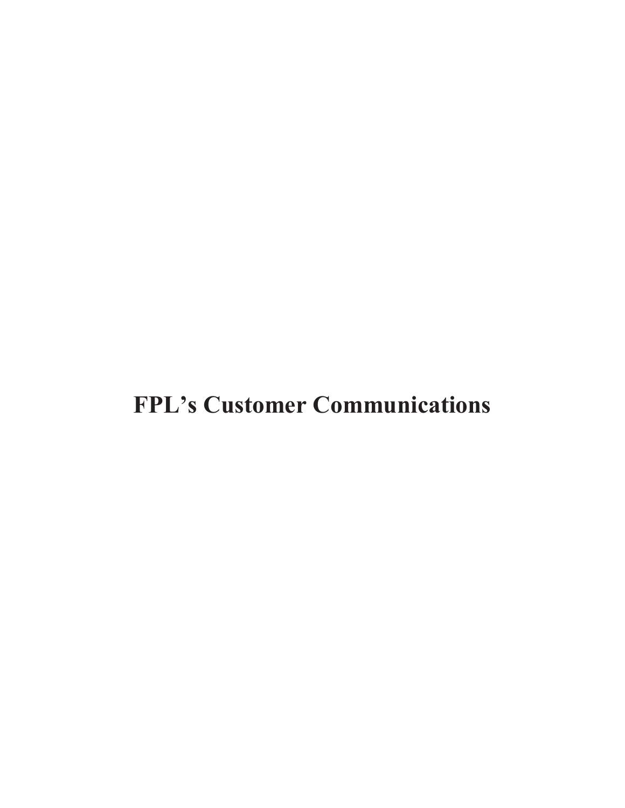# **FPL's Customer Communications**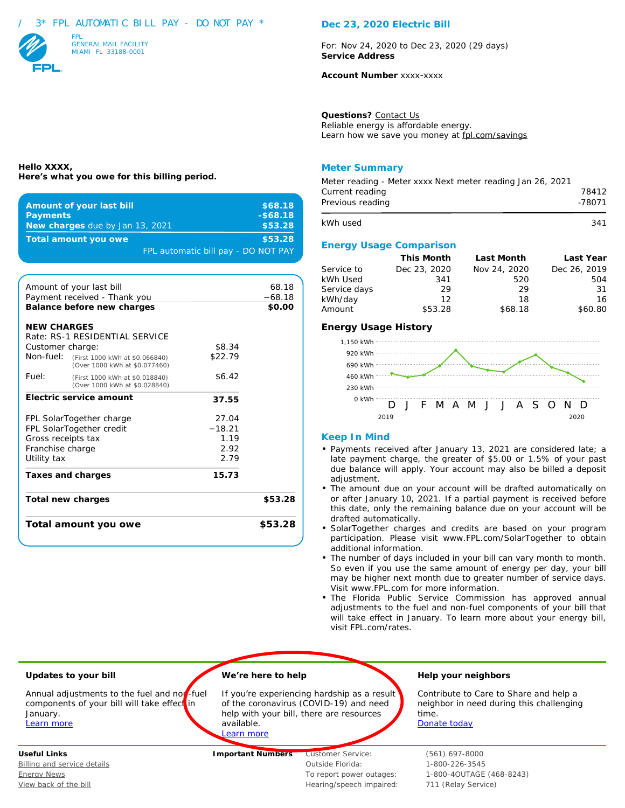## 3\* FPL AUTOMATIC BILL PAY - DO NOT PAY \*

**Here's what you owe for this billing period.**

**Amount of your last bill Amount of your last bill \$68.18 Payments - -** *-\$68.18* **New charges due by Jan 13, 2021 \$53.28 Total amount you owe and state of the state of the state \$53.28** 

Amount of your last bill<br>
Payment received - Thank you  $-68.18$ 

**Balance before new charges 1998 \$0.00** 

**Total new charges \$53.28**

**Total amount you owe \$53.28**

Customer charge:  $$8.34$ Non-fuel: (First 1000 kWh at \$0.066840) \$22.79 (Over 1000 kWh at \$0.077460) **Fuel:** (First 1000 kWh at \$0.018840) \$6.42 (Over 1000 kWh at \$0.028840) **Electric service amount 37.55**

FPL SolarTogether charge 27.04 FPL SolarTogether credit −18.21 Gross receipts tax 1.19 Franchise charge 2.92 Utility tax 2.79 **Taxes and charges 15.73**

FPL automatic bill pay - DO NOT PAY



Payment received - Thank you

Rate: RS-1 RESIDENTIAL SERVICE

**NEW CHARGES**

**Hello XXXX,**

### **Dec 23, 2020 Electric Bill**

For: Nov 24, 2020 to Dec 23, 2020 (29 days) **Service Address**

**Account Number** xxxx-xxxx

**Questions?** Contact Us Reliable energy is affordable energy. Learn how we save you money at fpl.com/savings

### **Meter Summary**

| Meter reading - Meter xxxx Next meter reading Jan 26, 2021<br>Current reading<br>Previous reading | 78412<br>-78071 |
|---------------------------------------------------------------------------------------------------|-----------------|
| kWh used                                                                                          | 341             |
| <b>Energy Usage Comparison</b>                                                                    |                 |

|              | This Month   | Last Month   | Last Year    |
|--------------|--------------|--------------|--------------|
| Service to   | Dec 23, 2020 | Nov 24, 2020 | Dec 26, 2019 |
| kWh Used     | 341          | 520          | 504          |
| Service days | 29           | 29           | -31          |
| kWh/day      | 12           | 18           | 16           |
| Amount       | \$53.28      | \$68.18      | \$60.80      |

#### **Energy Usage History**



#### **Keep In Mind**

- Payments received after January 13, 2021 are considered late; a late payment charge, the greater of \$5.00 or 1.5% of your past due balance will apply. Your account may also be billed a deposit adjustment.
- The amount due on your account will be drafted automatically on or after January 10, 2021. If a partial payment is received before this date, only the remaining balance due on your account will be drafted automatically.
- SolarTogether charges and credits are based on your program participation. Please visit www.FPL.com/SolarTogether to obtain additional information.
- The number of days included in your bill can vary month to month. So even if you use the same amount of energy per day, your bill may be higher next month due to greater number of service days. Visit www.FPL.com for more information.
- The Florida Public Service Commission has approved annual adjustments to the fuel and non-fuel components of your bill that will take effect in January. To learn more about your energy bill, visit FPL.com/rates.



View back of the bill Music extends the bill Hearing/speech impaired: 711 (Relay Service)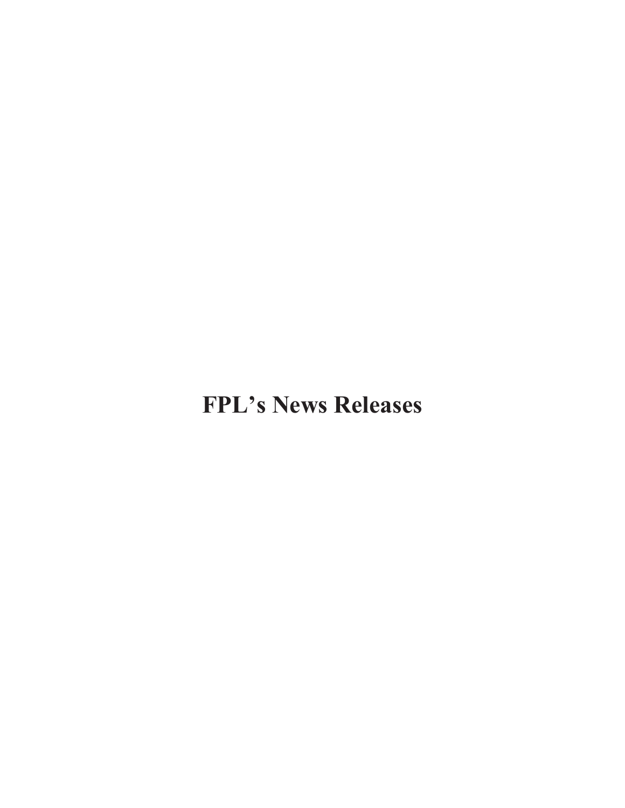**FPL's News Releases**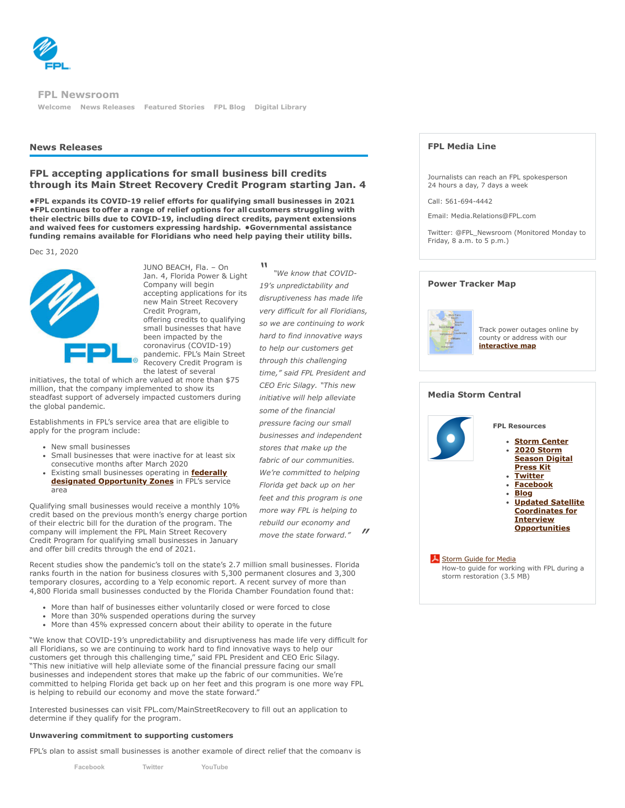

**[Welcome](http://newsroom.fpl.com/welcome) [News Releases](http://newsroom.fpl.com/news-releases) [Featured Stories](http://newsroom.fpl.com/featured-stories) [FPL Blog](http://www.fplblog.com/) [Digital Library](http://newsroom.fpl.com/digital-library) FPL Newsroom**

#### **News Releases**

# **FPL accepting applications for small business bill credits through its Main Street Recovery Credit Program starting Jan. 4**

**•FPL expands its COVID-19 relief efforts for qualifying small businesses in 2021 •FPL continues to offer a range of relief options for all customers struggling with their electric bills due to COVID-19, including direct credits, payment extensions and waived fees for customers expressing hardship.  •Governmental assistance funding remains available for Floridians who need help paying their utility bills.**

Dec 31, 2020



JUNO BEACH, Fla. – On Jan. 4, Florida Power & Light Company will begin accepting applications for its new Main Street Recovery Credit Program, offering credits to qualifying small businesses that have been impacted by the coronavirus (COVID-19) pandemic. FPL's Main Street Recovery Credit Program is the latest of several

initiatives, the total of which are valued at more than \$75 million, that the company implemented to show its steadfast support of adversely impacted customers during the global pandemic.

Establishments in FPL's service area that are eligible to apply for the program include:

- New small businesses
- Small businesses that were inactive for at least six consecutive months after March 2020
- [Existing small businesses operating in](http://www.floridajobs.org/business-growth-and-partnerships/for-businesses-and-entrepreneurs/business-resource/opportunity-zones) **federally designated Opportunity Zones** in FPL's service area

Qualifying small businesses would receive a monthly 10% credit based on the previous month's energy charge portion of their electric bill for the duration of the program. The company will implement the FPL Main Street Recovery Credit Program for qualifying small businesses in January and offer bill credits through the end of 2021.

Recent studies show the pandemic's toll on the state's 2.7 million small businesses. Florida ranks fourth in the nation for business closures with 5,300 permanent closures and 3,300 temporary closures, according to a Yelp economic report. A recent survey of more than 4,800 Florida small businesses conducted by the Florida Chamber Foundation found that:

- More than half of businesses either voluntarily closed or were forced to close
- More than 30% suspended operations during the survey
- More than 45% expressed concern about their ability to operate in the future

"We know that COVID-19's unpredictability and disruptiveness has made life very difficult for all Floridians, so we are continuing to work hard to find innovative ways to help our customers get through this challenging time," said FPL President and CEO Eric Silagy. "This new initiative will help alleviate some of the financial pressure facing our small businesses and independent stores that make up the fabric of our communities. We're committed to helping Florida get back up on her feet and this program is one more way FPL is helping to rebuild our economy and move the state forward.

Interested businesses can visit FPL.com/MainStreetRecovery to fill out an application to determine if they qualify for the program.

#### **Unwavering commitment to supporting customers**

FPI's plan to assist small businesses is another example of direct relief that the company is

| Facebook | Twitter | YouTube |
|----------|---------|---------|
|          |         |         |

*" " "We know that COVID-19's unpredictability and disruptiveness has made life very difficult for all Floridians, so we are continuing to work hard to find innovative ways to help our customers get through this challenging time," said FPL President and CEO Eric Silagy. "This new initiative will help alleviate some of the financial pressure facing our small businesses and independent stores that make up the fabric of our communities. We're committed to helping Florida get back up on her feet and this program is one more way FPL is helping to rebuild our economy and move the state forward."*

# **FPL Media Line**

Journalists can reach an FPL spokesperson 24 hours a day, 7 days a week

Call: 561-694-4442

Email: Media.Relations@FPL.com

Twitter: @FPL\_Newsroom (Monitored Monday to Friday, 8 a.m. to 5 p.m.)

#### **Power Tracker Map**



Track power outages online by county or address with our **[interactive map](http://www.fplmaps.com/)**

#### **Media Storm Central**

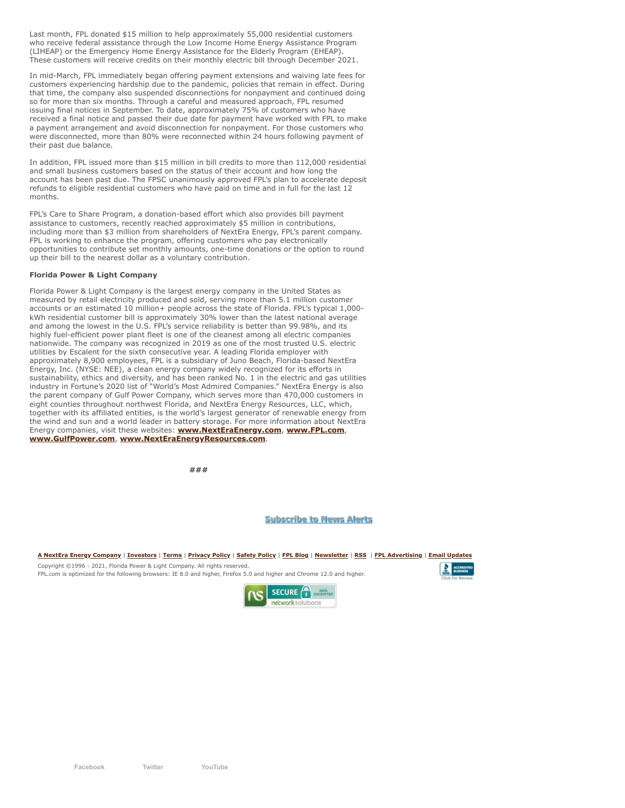Last month, FPL donated \$15 million to help approximately 55,000 residential customers who receive federal assistance through the Low Income Home Energy Assistance Program (LIHEAP) or the Emergency Home Energy Assistance for the Elderly Program (EHEAP). These customers will receive credits on their monthly electric bill through December 2021.

In mid-March, FPL immediately began offering payment extensions and waiving late fees for customers experiencing hardship due to the pandemic, policies that remain in effect. During that time, the company also suspended disconnections for nonpayment and continued doing so for more than six months. Through a careful and measured approach, FPL resumed issuing final notices in September. To date, approximately 75% of customers who have received a final notice and passed their due date for payment have worked with FPL to make a payment arrangement and avoid disconnection for nonpayment. For those customers who were disconnected, more than 80% were reconnected within 24 hours following payment of their past due balance.

In addition, FPL issued more than \$15 million in bill credits to more than 112,000 residential and small business customers based on the status of their account and how long the account has been past due. The FPSC unanimously approved FPL's plan to accelerate deposit refunds to eligible residential customers who have paid on time and in full for the last 12 months.

FPL's Care to Share Program, a donation-based effort which also provides bill payment assistance to customers, recently reached approximately \$5 million in contributions, including more than \$3 million from shareholders of NextEra Energy, FPL's parent company. FPL is working to enhance the program, offering customers who pay electronically opportunities to contribute set monthly amounts, one-time donations or the option to round up their bill to the nearest dollar as a voluntary contribution.

#### **Florida Power & Light Company**

Florida Power & Light Company is the largest energy company in the United States as measured by retail electricity produced and sold, serving more than 5.1 million customer accounts or an estimated 10 million+ people across the state of Florida. FPL's typical 1,000 kWh residential customer bill is approximately 30% lower than the latest national average and among the lowest in the U.S. FPL's service reliability is better than 99.98%, and its highly fuel-efficient power plant fleet is one of the cleanest among all electric companies nationwide. The company was recognized in 2019 as one of the most trusted U.S. electric utilities by Escalent for the sixth consecutive year. A leading Florida employer with approximately 8,900 employees, FPL is a subsidiary of Juno Beach, Florida-based NextEra Energy, Inc. (NYSE: NEE), a clean energy company widely recognized for its efforts in sustainability, ethics and diversity, and has been ranked No. 1 in the electric and gas utilities industry in Fortune's 2020 list of "World's Most Admired Companies." NextEra Energy is also the parent company of Gulf Power Company, which serves more than 470,000 customers in eight counties throughout northwest Florida, and NextEra Energy Resources, LLC, which, together with its affiliated entities, is the world's largest generator of renewable energy from the wind and sun and a world leader in battery storage. For more information about NextEra Energy companies, visit these websites: **[www.NextEraEnergy.com](http://www.nexteraenergy.com/)**, **[www.FPL.com](http://www.fpl.com/)**, **[www.GulfPower.com](http://www.gulfpower.com/)**, **[www.NextEraEnergyResources.com](http://www.nexteraenergyresources.com/)**.

**###**

#### **[Subscribe to News Alerts](http://newsroom.fpl.com/index.php?s=31522)**

**[A NextEra Energy Company](http://www.nexteraenergy.com/)** | **[Investors](http://www.nexteraenergy.com/investors/index.shtml)** | **[Terms](javascript:dcs_newWinSize()** | **[Privacy Policy](javascript:dcs_newWinSize()** | **[Safety Policy](javascript:dcs_newWinSize()** | **[FPL Blog](http://www.fplblog.com/)** | **[Newsletter](http://www.fpl.com/news/news_and_notes/contents/newsletter.shtml)** | **[RSS](http://www.nexteraenergy.com/rss.shtml)** | **[FPL Advertising](http://www.youtube.com/fpl#p/c/C7AC1E2BBA6C37D6)** | **[Email Updates](http://www.fpl.com/landing/registration.shtml)**

Copyright ©1996 - 2021, Florida Power & Light Company. All rights reserved.

FPL.com is optimized for the following browsers: IE 8.0 and higher, Firefox 5.0 and higher and Chrome 12.0 and higher.



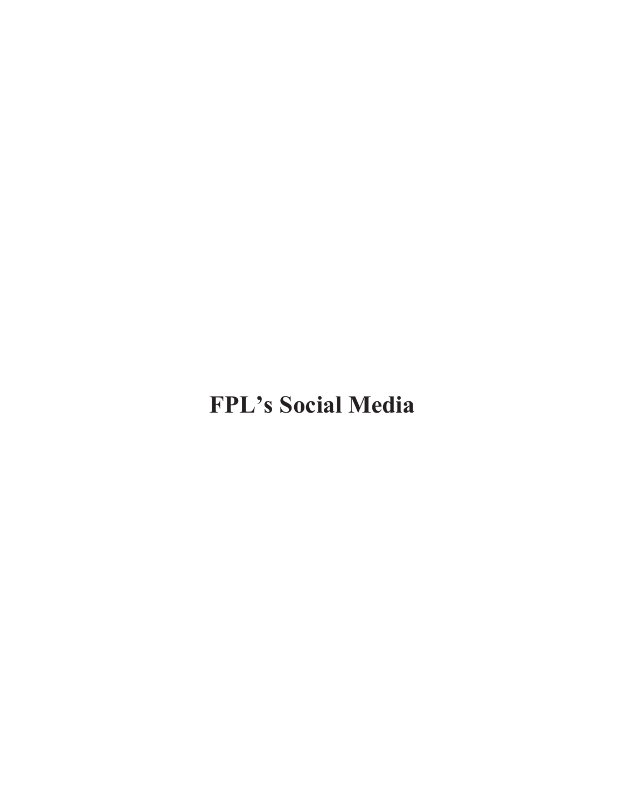# **FPL's Social Media**